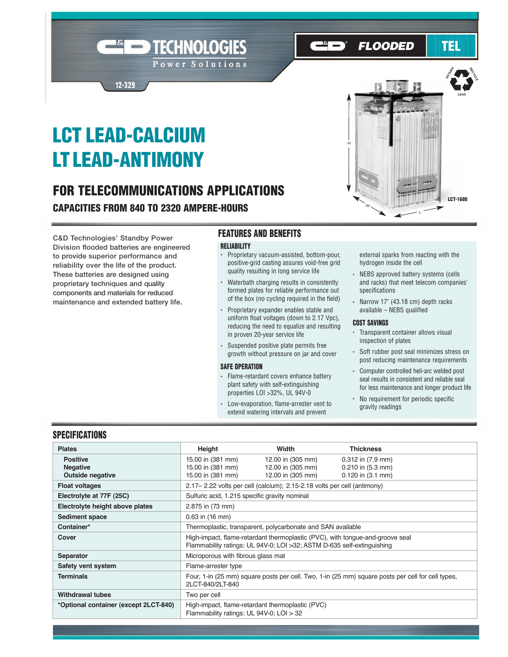### **FLOODED**

## TEL

# **LCT LEAD-CALCIUM LT LEAD-ANTIMONY**

**12-329**

### **FOR TELECOMMUNICATIONS APPLICATIONS CAPACITIES FROM 840 TO 2320 AMPERE-HOURS**

TECHNOLOGIES

Power Solutions

**C&D Technologies' Standby Power Division flooded batteries are engineered to provide superior performance and reliability over the life of the product. These batteries are designed using proprietary techniques and quality components and materials for reduced maintenance and extended battery life.**

#### **FEATURES AND BENEFITS**

#### **RELIABILITY**

- Proprietary vacuum-assisted, bottom-pour, positive-grid casting assures void-free grid quality resulting in long service life
- Waterbath charging results in consistently formed plates for reliable performance out of the box (no cycling required in the field)
- Proprietary expander enables stable and uniform float voltages (down to 2.17 Vpc), reducing the need to equalize and resulting in proven 20-year service life
- Suspended positive plate permits free growth without pressure on jar and cover

#### **SAFE OPERATION**

- Flame-retardant covers enhance battery plant safety with self-extinguishing properties LOI >32%, UL 94V-0
- Low-evaporation, flame-arrester vent to extend watering intervals and prevent



- NEBS approved battery systems (cells and racks) that meet telecom companies' specifications
- Narrow 17" (43.18 cm) depth racks available – NEBS qualified

#### **COST SAVINGS**

- Transparent container allows visual inspection of plates
- Soft rubber post seal minimizes stress on post reducing maintenance requirements
- Computer controlled heli-arc welded post seal results in consistent and reliable seal for less maintenance and longer product life
- No requirement for periodic specific gravity readings

#### **SPECIFICATIONS**

| <b>Plates</b>                         | Height                                                                                                                                                   | Width             | <b>Thickness</b>      |  |  |  |  |  |
|---------------------------------------|----------------------------------------------------------------------------------------------------------------------------------------------------------|-------------------|-----------------------|--|--|--|--|--|
| <b>Positive</b>                       | 15.00 in (381 mm)                                                                                                                                        | 12.00 in (305 mm) | $0.312$ in $(7.9$ mm) |  |  |  |  |  |
| <b>Negative</b>                       | 15.00 in (381 mm)                                                                                                                                        | 12.00 in (305 mm) | $0.210$ in $(5.3$ mm) |  |  |  |  |  |
| <b>Outside negative</b>               | 15.00 in (381 mm)                                                                                                                                        | 12.00 in (305 mm) | $0.120$ in $(3.1$ mm) |  |  |  |  |  |
| <b>Float voltages</b>                 | 2.17 – 2.22 volts per cell (calcium); 2.15-2.18 volts per cell (antimony)                                                                                |                   |                       |  |  |  |  |  |
| Electrolyte at 77F (25C)              | Sulfuric acid, 1.215 specific gravity nominal                                                                                                            |                   |                       |  |  |  |  |  |
| Electrolyte height above plates       | 2.875 in (73 mm)                                                                                                                                         |                   |                       |  |  |  |  |  |
| <b>Sediment space</b>                 | $0.63$ in $(16$ mm)                                                                                                                                      |                   |                       |  |  |  |  |  |
| Container*                            | Thermoplastic, transparent, polycarbonate and SAN available                                                                                              |                   |                       |  |  |  |  |  |
| Cover                                 | High-impact, flame-retardant thermoplastic (PVC), with tongue-and-groove seal<br>Flammability ratings: UL 94V-0; LOI > 32; ASTM D-635 self-extinguishing |                   |                       |  |  |  |  |  |
| <b>Separator</b>                      | Microporous with fibrous glass mat                                                                                                                       |                   |                       |  |  |  |  |  |
| Safety vent system                    | Flame-arrester type                                                                                                                                      |                   |                       |  |  |  |  |  |
| <b>Terminals</b>                      | Four, 1-in (25 mm) square posts per cell. Two, 1-in (25 mm) square posts per cell for cell types,<br>2LCT-840/2LT-840                                    |                   |                       |  |  |  |  |  |
| <b>Withdrawal tubes</b>               | Two per cell                                                                                                                                             |                   |                       |  |  |  |  |  |
| *Optional container (except 2LCT-840) | High-impact, flame-retardant thermoplastic (PVC)<br>Flammability ratings: UL 94V-0; LOI > 32                                                             |                   |                       |  |  |  |  |  |